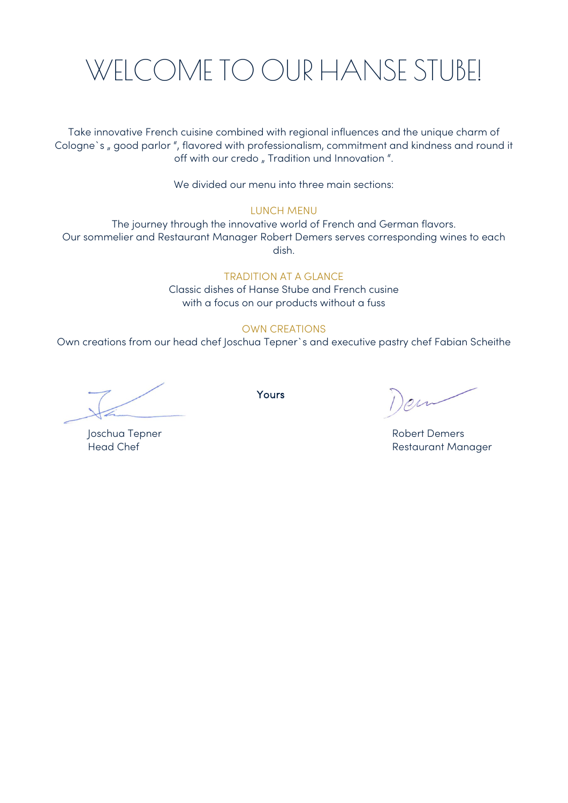# WELCOME TO OUR HANSE STUBE!

Take innovative French cuisine combined with regional influences and the unique charm of Cologne's , good parlor ", flavored with professionalism, commitment and kindness and round it off with our credo " Tradition und Innovation ".

We divided our menu into three main sections:

#### LUNCH MENU

The journey through the innovative world of French and German flavors. Our sommelier and Restaurant Manager Robert Demers serves corresponding wines to each dish.

#### TRADITION AT A GLANCE

Classic dishes of Hanse Stube and French cusine with a focus on our products without a fuss

### OWN CREATIONS

Own creations from our head chef Joschua Tepner`s and executive pastry chef Fabian Scheithe

Yours **All Services** 

Joschua Tepner National According to the Robert Demers Head Chef **Restaurant Manager**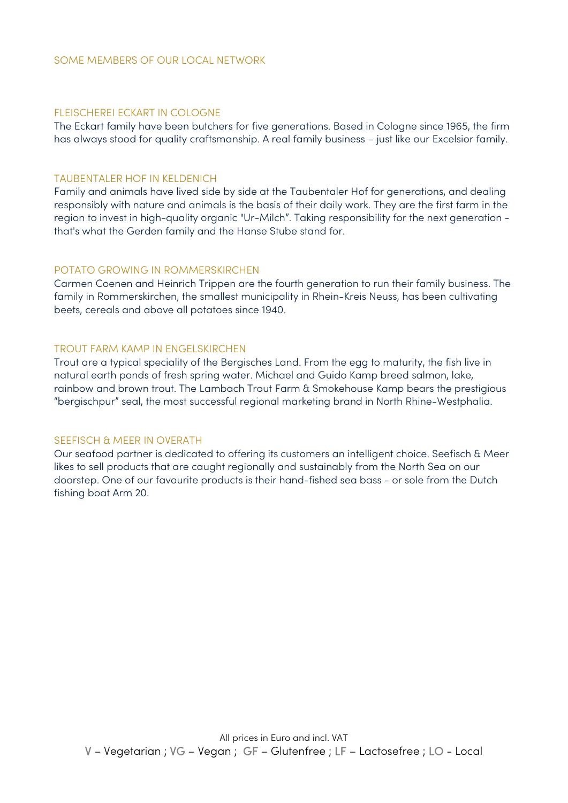#### FLEISCHEREI ECKART IN COLOGNE

The Eckart family have been butchers for five generations. Based in Cologne since 1965, the firm has always stood for quality craftsmanship. A real family business – just like our Excelsior family.

#### TAUBENTALER HOF IN KELDENICH

Family and animals have lived side by side at the Taubentaler Hof for generations, and dealing responsibly with nature and animals is the basis of their daily work. They are the first farm in the region to invest in high-quality organic "Ur-Milch". Taking responsibility for the next generation that's what the Gerden family and the Hanse Stube stand for.

#### POTATO GROWING IN ROMMERSKIRCHEN

Carmen Coenen and Heinrich Trippen are the fourth generation to run their family business. The family in Rommerskirchen, the smallest municipality in Rhein-Kreis Neuss, has been cultivating beets, cereals and above all potatoes since 1940.

#### TROUT FARM KAMP IN ENGELSKIRCHEN

Trout are a typical speciality of the Bergisches Land. From the egg to maturity, the fish live in natural earth ponds of fresh spring water. Michael and Guido Kamp breed salmon, lake, rainbow and brown trout. The Lambach Trout Farm & Smokehouse Kamp bears the prestigious "bergischpur" seal, the most successful regional marketing brand in North Rhine-Westphalia.

#### SEEFISCH & MEER IN OVERATH

Our seafood partner is dedicated to offering its customers an intelligent choice. Seefisch & Meer likes to sell products that are caught regionally and sustainably from the North Sea on our doorstep. One of our favourite products is their hand-fished sea bass - or sole from the Dutch fishing boat Arm 20.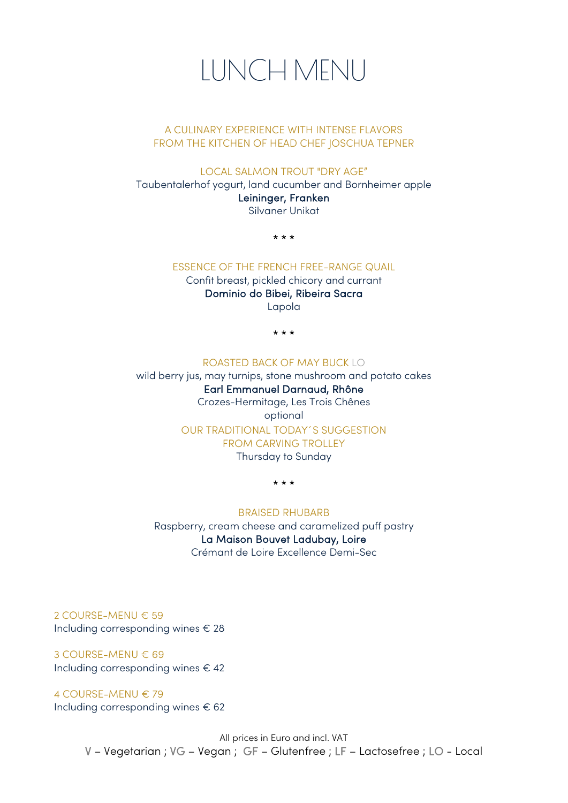

### A CULINARY EXPERIENCE WITH INTENSE FLAVORS FROM THE KITCHEN OF HEAD CHEF JOSCHUA TEPNER

LOCAL SALMON TROUT "DRY AGE"

Taubentalerhof yogurt, land cucumber and Bornheimer apple Leininger, Franken Silvaner Unikat

\* \* \*

### ESSENCE OF THE FRENCH FREE-RANGE QUAIL

Confit breast, pickled chicory and currant Dominio do Bibei, Ribeira Sacra

Lapola

\* \* \*

### ROASTED BACK OF MAY BUCK LO

wild berry jus, may turnips, stone mushroom and potato cakes Earl Emmanuel Darnaud, Rhône Crozes-Hermitage, Les Trois Chênes optional OUR TRADITIONAL TODAY´S SUGGESTION FROM CARVING TROLLEY Thursday to Sunday

\* \* \*

#### BRAISED RHUBARB

Raspberry, cream cheese and caramelized puff pastry La Maison Bouvet Ladubay, Loire Crémant de Loire Excellence Demi-Sec

2 COURSE-MENU € 59 Including corresponding wines € 28

3 COURSE-MENU € 69 Including corresponding wines  $\in$  42

4 COURSE-MENU € 79 Including corresponding wines  $\epsilon$  62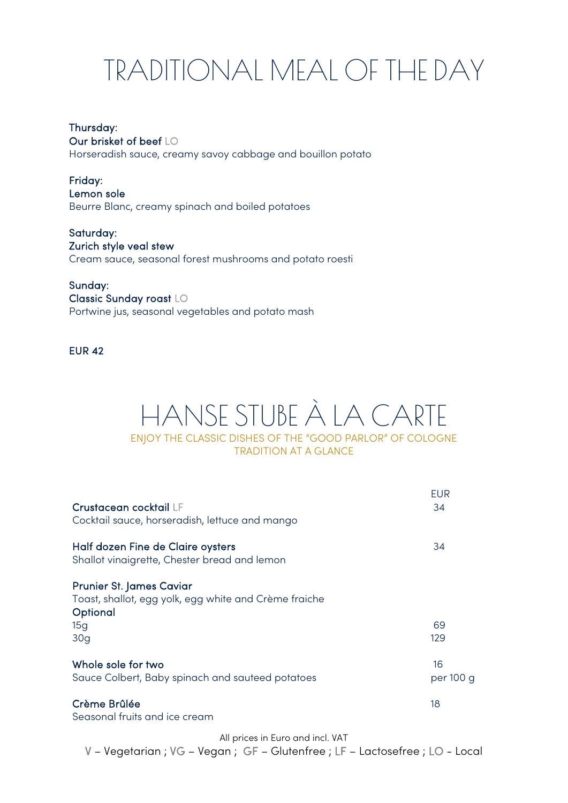# TRADITIONAL MEAL OF THE DAY

## Thursday:

Our brisket of beef LO

Horseradish sauce, creamy savoy cabbage and bouillon potato

Friday: Lemon sole Beurre Blanc, creamy spinach and boiled potatoes

Saturday: Zurich style veal stew Cream sauce, seasonal forest mushrooms and potato roesti

### Sunday:

Classic Sunday roast LO Portwine jus, seasonal vegetables and potato mash

EUR 42

# HANSE STUBE À LA CARTE ENJOY THE CLASSIC DISHES OF THE "GOOD PARLOR" OF COLOGNE TRADITION AT A GLANCE

| Crustacean cocktail LF<br>Cocktail sauce, horseradish, lettuce and mango                                    | <b>EUR</b><br>34 |
|-------------------------------------------------------------------------------------------------------------|------------------|
| Half dozen Fine de Claire oysters<br>Shallot vinaigrette, Chester bread and lemon                           | 34               |
| <b>Prunier St. James Caviar</b><br>Toast, shallot, egg yolk, egg white and Crème fraiche<br>Optional<br>15g | 69<br>129        |
| 30q<br>Whole sole for two<br>Sauce Colbert, Baby spinach and sauteed potatoes                               | 16<br>per 100 g  |
| Crème Brûlée<br>Seasonal fruits and ice cream                                                               | 18               |

All prices in Euro and incl. VAT

V – Vegetarian ; VG – Vegan ; GF – Glutenfree ; LF – Lactosefree ; LO - Local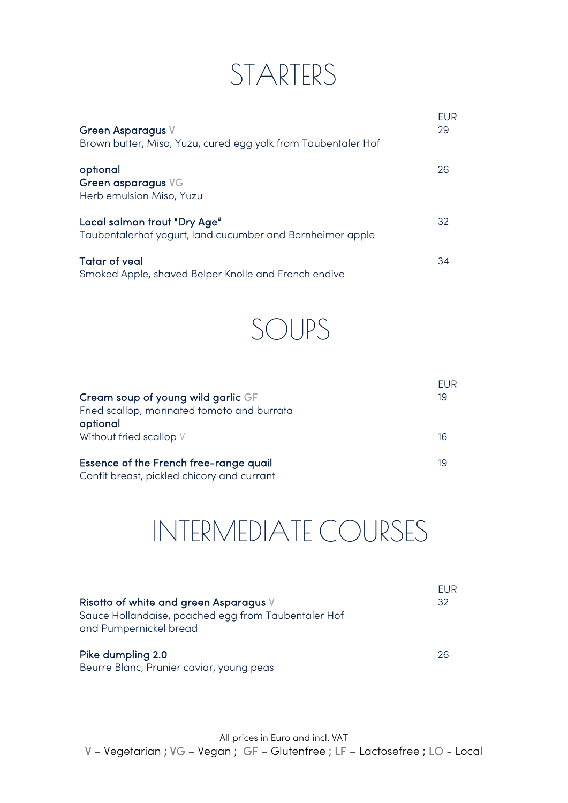# STARTERS

| Green Asparagus V<br>Brown butter, Miso, Yuzu, cured egg yolk from Taubentaler Hof        | <b>FUR</b><br>29 |
|-------------------------------------------------------------------------------------------|------------------|
| optional<br>Green asparagus VG<br>Herb emulsion Miso, Yuzu                                | 26               |
| Local salmon trout "Dry Age"<br>Taubentalerhof yogurt, land cucumber and Bornheimer apple | 32               |
| <b>Tatar of yeal</b><br>Smoked Apple, shaved Belper Knolle and French endive              | 34               |



| Cream soup of young wild garlic GF<br>Fried scallop, marinated tomato and burrata<br>optional | FUR<br>19 |
|-----------------------------------------------------------------------------------------------|-----------|
| Without fried scallop V                                                                       | 16        |
| Essence of the French free-range quail<br>Confit breast, pickled chicory and currant          | 19        |

# INTERMEDIATE COURSES

| Risotto of white and green Asparagus V<br>Sauce Hollandaise, poached egg from Taubentaler Hof<br>and Pumpernickel bread | EUR<br>32 |
|-------------------------------------------------------------------------------------------------------------------------|-----------|
| Pike dumpling 2.0<br>Beurre Blanc, Prunier caviar, young peas                                                           | 26        |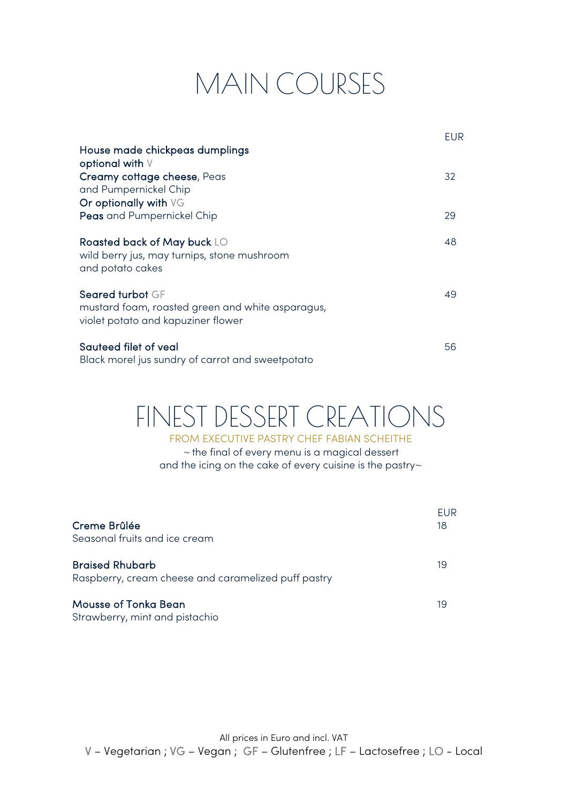# MAIN COURSES

|                                                                                                            | EUR |
|------------------------------------------------------------------------------------------------------------|-----|
| House made chickpeas dumplings<br>optional with V                                                          |     |
| Creamy cottage cheese, Peas<br>and Pumpernickel Chip                                                       | 32  |
| Or optionally with VG<br>Peas and Pumpernickel Chip                                                        | 29  |
| Roasted back of May buck LO<br>wild berry jus, may turnips, stone mushroom<br>and potato cakes             | 48  |
| Seared turbot GF<br>mustard foam, roasted green and white asparagus,<br>violet potato and kapuziner flower | 49  |
| Sauteed filet of yeal<br>Black morel jus sundry of carrot and sweetpotato                                  | 56  |

# FINEST DESSERT CREATIONS

FROM EXECUTIVE PASTRY CHEF FABIAN SCHEITHE <sup>~</sup>the final of every menu is a magical dessert and the icing on the cake of every cuisine is the pastry~

| Creme Brûlée<br>Seasonal fruits and ice cream                                 | FUR<br>18 |
|-------------------------------------------------------------------------------|-----------|
| <b>Braised Rhubarb</b><br>Raspberry, cream cheese and caramelized puff pastry | 19        |
| Mousse of Tonka Bean<br>Strawberry, mint and pistachio                        | 19        |